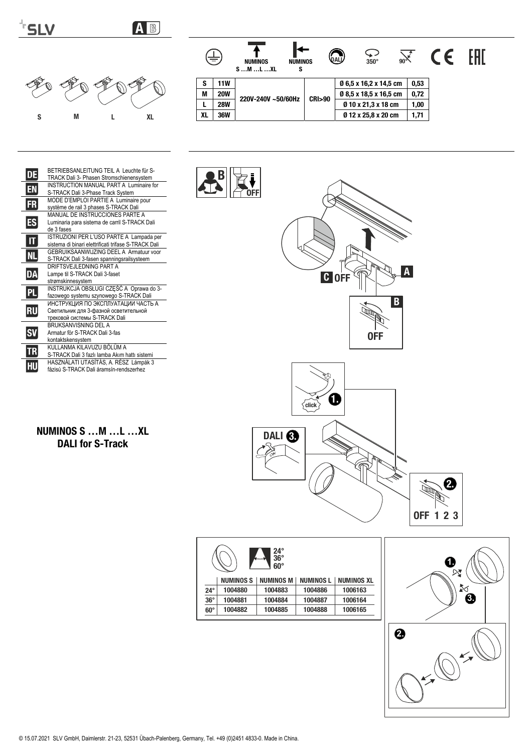



B





NUMINOS S …M …L …XL DALI for S-Track

fázisú S-TRACK Dali áramsín-rendszerhez

HU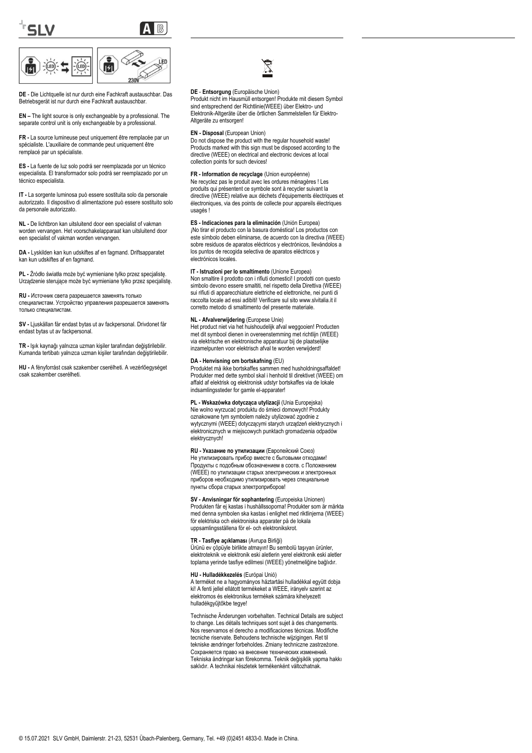



**DE** - Die Lichtquelle ist nur durch eine Fachkraft austauschbar. Das Betriebsgerät ist nur durch eine Fachkraft austauschbar.

**EN –** The light source is only exchangeable by a professional. The separate control unit is only exchangeable by a professional.

**FR -** La source lumineuse peut uniquement être remplacée par un spécialiste. L'auxiliaire de commande peut uniquement être remplacé par un spécialiste.

**ES -** La fuente de luz solo podrá ser reemplazada por un técnico especialista. El transformador solo podrá ser reemplazado por un técnico especialista.

**IT -** La sorgente luminosa può essere sostituita solo da personale autorizzato. Il dispositivo di alimentazione può essere sostituito solo da personale autorizzato.

**NL -** De lichtbron kan uitsluitend door een specialist of vakman worden vervangen. Het voorschakelapparaat kan uitsluitend door een specialist of vakman worden vervangen.

**DA -** Lyskilden kan kun udskiftes af en fagmand. Driftsapparatet kan kun udskiftes af en fagmand.

**PL -** Źródło światła może być wymieniane tylko przez specjalistę. Urządzenie sterujące może być wymieniane tylko przez specjalistę.

**RU -** Источник света разрешается заменять только специалистам. Устройство управления разрешается заменять только специалистам.

**SV -** Ljuskällan får endast bytas ut av fackpersonal. Drivdonet får endast bytas ut av fackpersonal.

**TR -** Işık kaynağı yalnızca uzman kişiler tarafından değiştirilebilir. Kumanda tertibatı yalnızca uzman kişiler tarafından değiştirilebilir.

**HU -** A fényforrást csak szakember cserélheti. A vezérlőegységet csak szakember cserélheti.

# ⊠

### **DE** - **Entsorgung** (Europäische Union)

Produkt nicht im Hausmüll entsorgen! Produkte mit diesem Symbol sind entsprechend der Richtlinie(WEEE) über Elektro- und Elektronik-Altgeräte über die örtlichen Sammelstellen für Elektro-Altgeräte zu entsorgen!

#### **EN - Disposal** (European Union)

Do not dispose the product with the regular household waste! Products marked with this sign must be disposed according to the directive (WEEE) on electrical and electronic devices at local collection points for such devices!

#### **FR - Information de recyclage** (Union européenne)

Ne recyclez pas le produit avec les ordures ménagères ! Les produits qui présentent ce symbole sont à recycler suivant la directive (WEEE) relative aux déchets d'équipements électriques et électroniques, via des points de collecte pour appareils électriques usagés !

**ES - Indicaciones para la eliminación** (Unión Europea)

¡No tirar el producto con la basura doméstica! Los productos con este símbolo deben eliminarse, de acuerdo con la directiva (WEEE) sobre residuos de aparatos eléctricos y electrónicos, llevándolos a los puntos de recogida selectiva de aparatos eléctricos y electrónicos locales.

#### **IT - Istruzioni per lo smaltimento** (Unione Europea)

Non smaltire il prodotto con i rifiuti domestici! I prodotti con questo simbolo devono essere smaltiti, nel rispetto della Direttiva (WEEE) sui rifiuti di apparecchiature elettriche ed elettroniche, nei punti di raccolta locale ad essi adibiti! Verificare sul sito www.slvitalia.it il corretto metodo di smaltimento del presente materiale.

#### **NL - Afvalverwijdering** (Europese Unie)

Het product niet via het huishoudelijk afval weggooien! Producten met dit symbool dienen in overeenstemming met richtlijn (WEEE) via elektrische en elektronische apparatuur bij de plaatselijke inzamelpunten voor elektrisch afval te worden verwijderd!

#### **DA - Henvisning om bortskafning** (EU)

Produktet må ikke bortskaffes sammen med husholdningsaffaldet! Produkter med dette symbol skal i henhold til direktivet (WEEE) om affald af elektrisk og elektronisk udstyr bortskaffes via de lokale indsamlingssteder for gamle el-apparater!

**PL - Wskazówka dotycząca utylizacji** (Unia Europejska) Nie wolno wyrzucać produktu do śmieci domowych! Produkty oznakowane tym symbolem należy utylizować zgodnie z wytycznymi (WEEE) dotyczącymi starych urządzeń elektrycznych i elektronicznych w miejscowych punktach gromadzenia odpadów elektrycznych!

**RU - Указание по утилизации** (Европейский Союз) Не утилизировать прибор вместе с бытовыми отходами! Продукты с подобным обозначением в соотв. с Положением (WEEE) по утилизации старых электрических и электронных приборов необходимо утилизировать через специальные пункты сбора старых электроприборов!

**SV - Anvisningar för sophantering** (Europeiska Unionen) Produkten får ej kastas i hushållssoporna! Produkter som är märkta med denna symbolen ska kastas i enlighet med riktlinjerna (WEEE) för elektriska och elektroniska apparater på de lokala uppsamlingsställena för el- och elektronikskrot.

#### **TR - Tasfiye açıklaması** (Avrupa Birliği)

Ürünü ev çöpüyle birlikte atmayın! Bu sembolü taşıyan ürünler, elektroteknik ve elektronik eski aletlerin yerel elektronik eski aletler toplama yerinde tasfiye edilmesi (WEEE) yönetmeliğine bağlıdır.

#### **HU - Hulladékkezelés** (Európai Unió)

A terméket ne a hagyományos háztartási hulladékkal együtt dobja ki! A fenti jellel ellátott termékeket a WEEE, irányelv szerint az elektromos és elektronikus termékek számára kihelyezett hulladékgyűjtőkbe tegye!

Technische Änderungen vorbehalten. Technical Details are subject to change. Les détails techniques sont sujet à des changements Nos reservamos el derecho a modificaciones técnicas. Modifiche tecniche riservate. Behoudens technische wijzigingen. Ret til tekniske ændringer forbeholdes. Zmiany techniczne zastrzeżone. Сохраняется право на внесение технических изменений. Tekniska ändringar kan förekomma. Teknik değişiklik yapma hakkı saklıdır. A technikai részletek termékenként változhatnak.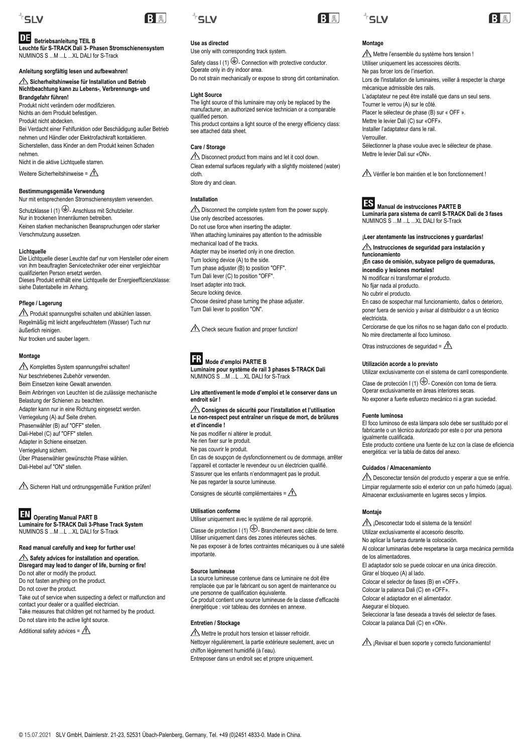

### **Betriebsanleitung TEIL B**

**Leuchte für S-TRACK Dali 3- Phasen Stromschienensystem** NUMINOS S ...M ...L ...XL DALI for S-Track

### **Anleitung sorgfältig lesen und aufbewahren!**

**Sicherheitshinweise für Installation und Betrieb Nichtbeachtung kann zu Lebens-, Verbrennungs- und Brandgefahr führen!**

Produkt nicht verändern oder modifizieren. Nichts an dem Produkt befestigen. Produkt nicht abdecken. Bei Verdacht einer Fehlfunktion oder Beschädigung außer Betrieb nehmen und Händler oder Elektrofachkraft kontaktieren. Sicherstellen, dass Kinder an dem Produkt keinen Schaden nehmen.

Nicht in die aktive Lichtquelle starren.

Weitere Sicherheitshinweise =  $\triangle$ 

### **Bestimmungsgemäße Verwendung**

Nur mit entsprechenden Stromschienensystem verwenden. Schutzklasse I (1)  $\bigoplus$ - Anschluss mit Schutzleiter. Nur in trockenen Innenräumen betreiben. Keinen starken mechanischen Beanspruchungen oder starker Verschmutzung aussetzen.

#### **Lichtquelle**

Die Lichtquelle dieser Leuchte darf nur vom Hersteller oder einem von ihm beauftragten Servicetechniker oder einer vergleichbar qualifizierten Person ersetzt werden. Dieses Produkt enthält eine Lichtquelle der Energieeffizienzklasse: siehe Datentabelle im Anhang.

#### **Pflege / Lagerung**

Produkt spannungsfrei schalten und abkühlen lassen. Regelmäßig mit leicht angefeuchtetem (Wasser) Tuch nur äußerlich reinigen. Nur trocken und sauber lagern.

### **Montage**

 $\triangle$  Komplettes System spannungsfrei schalten! Nur beschriebenes Zubehör verwenden. Beim Einsetzen keine Gewalt anwenden. Beim Anbringen von Leuchten ist die zulässige mechanische Belastung der Schienen zu beachten. Adapter kann nur in eine Richtung eingesetzt werden. Verriegelung (A) auf Seite drehen. Phasenwähler (B) auf "OFF" stellen. Dali-Hebel (C) auf "OFF" stellen. Adapter in Schiene einsetzen. Verriegelung sichern. Über Phasenwähler gewünschte Phase wählen. Dali-Hebel auf "ON" stellen.

Sicheren Halt und ordnungsgemäße Funktion prüfen!

## **Operating Manual PART B**

**Luminaire for S-TRACK Dali 3-Phase Track System** NUMINOS S ...M ...L ...XL DALI for S-Track

### **Read manual carefully and keep for further use!**

**A** Safety advices for installation and operation. **Disregard may lead to danger of life, burning or fire!** Do not alter or modify the product. Do not fasten anything on the product. Do not cover the product. Take out of service when suspecting a defect or malfunction and contact your dealer or a qualified electrician. Take measures that children get not harmed by the product.

Do not stare into the active light source.

Additional safety advices =  $\triangle$ 



BA

**Use as directed**

## BA





### **Montage**

<sup>+</sup>SLV

Mettre l'ensemble du système hors tension ! Utiliser uniquement les accessoires décrits. Ne pas forcer lors de l'insertion. Lors de l'installation de luminaires, veiller à respecter la charge mécanique admissible des rails. L'adaptateur ne peut être installé que dans un seul sens. Tourner le verrou (A) sur le côté. Placer le sélecteur de phase (B) sur « OFF ». Mettre le levier Dali (C) sur «OFF». Installer l'adaptateur dans le rail. Verrouiller. Sélectionner la phase voulue avec le sélecteur de phase. Mettre le levier Dali sur «ON».

Vérifier le bon maintien et le bon fonctionnement !



**Manual de instrucciones PARTE B Luminaria para sistema de carril S-TRACK Dali de 3 fases** NUMINOS S ...M ...L ...XL DALI for S-Track

**¡Leer atentamente las instrucciones y guardarlas!**

**Instrucciones de seguridad para instalación y funcionamiento**

**¡En caso de omisión, subyace peligro de quemaduras, incendio y lesiones mortales!**

Ni modificar ni transformar el producto.

No fijar nada al producto.

No cubrir el producto.

En caso de sospechar mal funcionamiento, daños o deterioro, poner fuera de servicio y avisar al distribuidor o a un técnico electricista.

Cerciorarse de que los niños no se hagan daño con el producto. No mire directamente al foco luminoso.

Otras instrucciones de seguridad =  $\triangle$ 

### **Utilización acorde a lo previsto**

Utilizar exclusivamente con el sistema de carril correspondiente. Clase de protección I (1)  $\bigoplus$ - Conexión con toma de tierra.

Operar exclusivamente en áreas interiores secas. No exponer a fuerte esfuerzo mecánico ni a gran suciedad.

#### **Fuente luminosa**

El foco luminoso de esta lámpara solo debe ser sustituido por el fabricante o un técnico autorizado por este o por una persona igualmente cualificada. Este producto contiene una fuente de luz con la clase de eficiencia energética: ver la tabla de datos del anexo.

#### **Cuidados / Almacenamiento**

Desconectar tensión del producto y esperar a que se enfríe. Limpiar regularmente solo el exterior con un paño húmedo (agua). Almacenar exclusivamente en lugares secos y limpios.

#### **Montaje**

¡Desconectar todo el sistema de la tensión! Utilizar exclusivamente el accesorio descrito. No aplicar la fuerza durante la colocación. Al colocar luminarias debe respetarse la carga mecánica permitida de los alimentadores. El adaptador solo se puede colocar en una única dirección. Girar el bloqueo (A) al lado. Colocar el selector de fases (B) en «OFF». Colocar la palanca Dali (C) en «OFF». Colocar el adaptador en el alimentador. Asegurar el bloqueo. Seleccionar la fase deseada a través del selector de fases.

Colocar la palanca Dali (C) en «ON».

 $\triangle$  iRevisar el buen soporte y correcto funcionamiento!

Safety class I (1)  $\bigoplus$ - Connection with protective conductor. Operate only in dry indoor area. Do not strain mechanically or expose to strong dirt contamination.

Use only with corresponding track system.

#### **Light Source**

The light source of this luminaire may only be replaced by the manufacturer, an authorized service technician or a comparable qualified person. This product contains a light source of the energy efficiency class:

see attached data sheet.

#### **Care / Storage**

**Installation**

Use only described accessories. Do not use force when inserting the adapter. When attaching luminaires pay attention to the admissible

mechanical load of the tracks.

Turn Dali lever to position "ON".

 **Mode d'emploi PARTIE B**

Ne pas modifier ni altérer le produit. Ne rien fixer sur le produit. Ne pas couvrir le produit.

Ne pas regarder la source lumineuse. Consignes de sécurité complémentaires =  $\Lambda$ 

Utiliser uniquement avec le système de rail approprié. Classe de protection I (1)  $\bigoplus$ -Branchement avec câble de terre. Utiliser uniquement dans des zones intérieures sèches. Ne pas exposer à de fortes contraintes mécaniques ou à une saleté

La source lumineuse contenue dans ce luminaire ne doit être remplacée que par le fabricant ou son agent de maintenance ou

Ce produit contient une source lumineuse de la classe d'efficacité

une personne de qualification équivalente.

chiffon légèrement humidifié (à l'eau).

énergétique : voir tableau des données en annexe.

Mettre le produit hors tension et laisser refroidir. Nettoyer régulièrement, la partie extérieure seulement, avec un

Entreposer dans un endroit sec et propre uniquement.

**Utilisation conforme**

importante.

**Source lumineuse** 

**Entretien / Stockage**

**endroit sûr !**

**et d'incendie !**

Adapter may be inserted only in one direction. Turn locking device (A) to the side. Turn phase adjuster (B) to position "OFF". Turn Dali lever (C) to position "OFF". Insert adapter into track. Secure locking device.

Choose desired phase turning the phase adjuster.

Check secure fixation and proper function!

NUMINOS S ...M ...L ...XL DALI for S-Track

**Luminaire pour système de rail 3 phases S-TRACK Dali**

**Lire attentivement le mode d'emploi et le conserver dans un** 

**Consignes de sécurité pour l'installation et l'utilisation Le non-respect peut entraîner un risque de mort, de brûlures** 

En cas de soupçon de dysfonctionnement ou de dommage, arrêter l'appareil et contacter le revendeur ou un électricien qualifié. S'assurer que les enfants n'endommagent pas le produit.

Disconnect product from mains and let it cool down. Clean external surfaces regularly with a slightly moistened (water) cloth. Store dry and clean.

 $\triangle$  Disconnect the complete system from the power supply.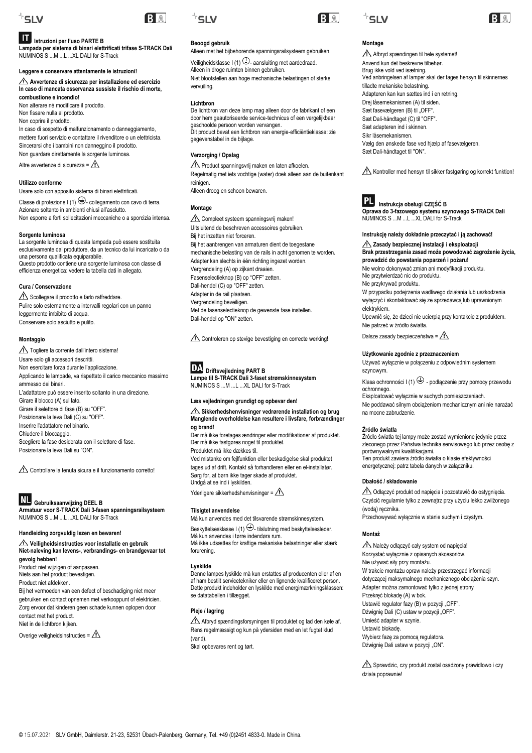

#### $|\mathbf{H}|$ **Istruzioni per l'uso PARTE B**

**Lampada per sistema di binari elettrificati trifase S-TRACK Dali** NUMINOS S ...M ...L ...XL DALI for S-Track

#### **Leggere e conservare attentamente le istruzioni!**

**Avvertenze di sicurezza per installazione ed esercizio In caso di mancata osservanza sussiste il rischio di morte, combustione e incendio!**

Non alterare né modificare il prodotto. Non fissare nulla al prodotto. Non coprire il prodotto. In caso di sospetto di malfunzionamento o danneggiamento, mettere fuori servizio e contattare il rivenditore o un elettricista. Sincerarsi che i bambini non danneggino il prodotto. Non guardare direttamente la sorgente luminosa.

Altre avvertenze di sicurezza =  $\triangle$ 

#### **Utilizzo conforme**

Usare solo con apposito sistema di binari elettrificati. Classe di protezione I (1)  $\bigoplus$ -collegamento con cavo di terra. Azionare soltanto in ambienti chiusi all'asciutto. Non esporre a forti sollecitazioni meccaniche o a sporcizia intensa.

### **Sorgente luminosa**

La sorgente luminosa di questa lampada può essere sostituita esclusivamente dal produttore, da un tecnico da lui incaricato o da una persona qualificata equiparabile. Questo prodotto contiene una sorgente luminosa con classe di efficienza energetica: vedere la tabella dati in allegato.

### **Cura / Conservazione**

Scollegare il prodotto e farlo raffreddare. Pulire solo esternamente a intervalli regolari con un panno leggermente imbibito di acqua. Conservare solo asciutto e pulito.

#### **Montaggio**

Togliere la corrente dall'intero sistema! Usare solo gli accessori descritti. Non esercitare forza durante l'applicazione. Applicando le lampade, va rispettato il carico meccanico massimo ammesso dei binari. L'adattatore può essere inserito soltanto in una direzione. Girare il blocco (A) sul lato. Girare il selettore di fase (B) su "OFF". Posizionare la leva Dali (C) su "OFF". Inserire l'adattatore nel binario. Chiudere il bloccaggio. Scegliere la fase desiderata con il selettore di fase. Posizionare la leva Dali su "ON".

 $\triangle$  Controllare la tenuta sicura e il funzionamento corretto!

#### **NL Gebruiksaanwijzing DEEL B**

**Armatuur voor S-TRACK Dali 3-fasen spanningsrailsysteem** NUMINOS S ...M ...L ...XL DALI for S-Track

### **Handleiding zorgvuldig lezen en bewaren!**

**Veiligheidsinstructies voor installatie en gebruik Niet-naleving kan levens-, verbrandings- en brandgevaar tot gevolg hebben!**

Product niet wijzigen of aanpassen. Niets aan het product bevestigen.

Product niet afdekken.

Bij het vermoeden van een defect of beschadiging niet meer gebruiken en contact opnemen met verkooppunt of elektricien. Zorg ervoor dat kinderen geen schade kunnen oplopen door contact met het product. Niet in de lichtbron kijken.

Overige veiligheidsinstructies =  $\triangle$ 



BA

### **Beoogd gebruik**

Alleen met het bijbehorende spanningsrailsysteem gebruiken.

Veiligheidsklasse I (1)  $\bigoplus$ - aansluiting met aardedraad. Alleen in droge ruimten binnen gebruiken. Niet blootstellen aan hoge mechanische belastingen of sterke vervuiling.

### **Lichtbron**

De lichtbron van deze lamp mag alleen door de fabrikant of een door hem geautoriseerde service-technicus of een vergelijkbaar geschoolde persoon worden vervangen. Dit product bevat een lichtbron van energie-efficiëntieklasse: zie gegevenstabel in de bijlage.

### **Verzorging / Opslag**

Product spanningsvrij maken en laten afkoelen. Regelmatig met iets vochtige (water) doek alleen aan de buitenkant reinigen. Alleen droog en schoon bewaren.

**Montage**

Compleet systeem spanningsvrij maken! Uitsluitend de beschreven accessoires gebruiken. Bij het inzetten niet forceren. Bij het aanbrengen van armaturen dient de toegestane mechanische belasting van de rails in acht genomen te worden. Adapter kan slechts in één richting ingezet worden. Vergrendeling (A) op zijkant draaien. Fasenselectieknop (B) op "OFF" zetten. Dali-hendel (C) op "OFF" zetten. Adapter in de rail plaatsen. Vergrendeling beveiligen. Met de fasenselectieknop de gewenste fase instellen. Dali-hendel op "ON" zetten.

Controleren op stevige bevestiging en correcte werking!

## **Driftsvejledning PART B**

**Lampe til S-TRACK Dali 3-faset strømskinnesystem** NUMINOS S ...M ...L ...XL DALI for S-Track

#### **Læs vejledningen grundigt og opbevar den!**

#### **A** Sikkerhedshenvisninger vedrørende installation og brug **Manglende overholdelse kan resultere i livsfare, forbrændinger og brand!**

Der må ikke foretages ændringer eller modifikationer af produktet. Der må ikke fastgøres noget til produktet. Produktet må ikke dækkes til.

Ved mistanke om fejlfunktion eller beskadigelse skal produktet tages ud af drift. Kontakt så forhandleren eller en el-installatør. Sørg for, at børn ikke tager skade af produktet. Undgå at se ind i lyskilden.

Yderligere sikkerhedshenvisninger =  $\triangle$ 

#### **Tilsigtet anvendelse**

Må kun anvendes med det tilsvarende strømskinnesystem.

Beskyttelsesklasse I (1)  $\bigoplus$ - tilslutning med beskyttelsesleder. Må kun anvendes i tørre indendørs rum. Må ikke udsættes for kraftige mekaniske belastninger eller stærk forurening.

### **Lyskilde**

Denne lampes lyskilde må kun erstattes af producenten eller af en af ham bestilt servicetekniker eller en lignende kvalificeret person. Dette produkt indeholder en lyskilde med energimærkningsklassen: se datatabellen i tillægget.

### **Pleje / lagring**

Afbryd spændingsforsyningen til produktet og lad den køle af. Rens regelmæssigt og kun på ydersiden med en let fugtet klud (vand).

Skal opbevares rent og tørt.





## **Montage**

Afbryd spændingen til hele systemet! Anvend kun det beskrevne tilbehør. Brug ikke vold ved isætning. Ved anbringelsen af lamper skal der tages hensyn til skinnernes tilladte mekaniske belastning. Adapteren kan kun sættes ind i en retning. Drej låsemekanismen (A) til siden. Sæt fasevælgeren (B) til "OFF" Sæt Dali-håndtaget (C) til "OFF". Sæt adapteren ind i skinnen. Sikr låsemekanismen. Vælg den ønskede fase ved hjælp af fasevælgeren. Sæt Dali-håndtaget til "ON".

Kontroller med hensyn til sikker fastgøring og korrekt funktion!



 **Instrukcja obsługi CZĘŚĆ B Oprawa do 3-fazowego systemu szynowego S-TRACK Dali**

NUMINOS S ...M ...L ...XL DALI for S-Track

### **Instrukcję należy dokładnie przeczytać i ją zachować!**

#### **Zasady bezpiecznej instalacji i eksploatacji Brak przestrzegania zasad może powodować zagrożenie życia, prowadzić do powstania poparzeń i pożaru!**

Nie wolno dokonywać zmian ani modyfikacji produktu. Nie przytwierdzać nic do produktu.

Nie przykrywać produktu.

W przypadku podejrzenia wadliwego działania lub uszkodzenia wyłączyć i skontaktować się ze sprzedawcą lub uprawnionym elektrykiem.

Upewnić się, że dzieci nie ucierpią przy kontakcie z produktem. Nie patrzeć w źródło światła.

Dalsze zasady bezpieczeństwa =  $\triangle$ 

### **Użytkowanie zgodnie z przeznaczeniem**

Używać wyłącznie w połączeniu z odpowiednim systemem szynowym.

Klasa ochronności I (1)  $\bigoplus$  - podłączenie przy pomocy przewodu ochronnego.

Eksploatować wyłącznie w suchych pomieszczeniach.

Nie poddawać silnym obciążeniom mechanicznym ani nie narażać na mocne zabrudzenie.

#### **Źródło światła**

Źródło światła tej lampy może zostać wymienione jedynie przez zleconego przez Państwa technika serwisowego lub przez osobę z porównywalnymi kwalifikacjami. Ten produkt zawiera źródło światła o klasie efektywności energetycznej: patrz tabela danych w załączniku.

#### **Dbałość / składowanie**

Odłączyć produkt od napięcia i pozostawić do ostygnięcia. Czyścić regularnie tylko z zewnątrz przy użyciu lekko zwilżonego (wodą) ręcznika. Przechowywać wyłącznie w stanie suchym i czystym.

### **Montaż**

Należy odłączyć cały system od napięcia! Korzystać wyłącznie z opisanych akcesoriów. Nie używać siły przy montażu. W trakcie montażu opraw należy przestrzegać informacji dotyczącej maksymalnego mechanicznego obciążenia szyn. Adapter można zamontować tylko z jednej strony Przekręć blokadę (A) w bok. Ustawić regulator fazy (B) w pozycji "OFF". Dźwignię Dali (C) ustaw w pozycji "OFF". Umieść adapter w szynie. Ustawić blokadę. Wybierz fazę za pomocą regulatora. Dźwignie Dali ustaw w pozycji "ON".

Sprawdzic, czy produkt zostal osadzony prawidlowo i czy dziala poprawnie!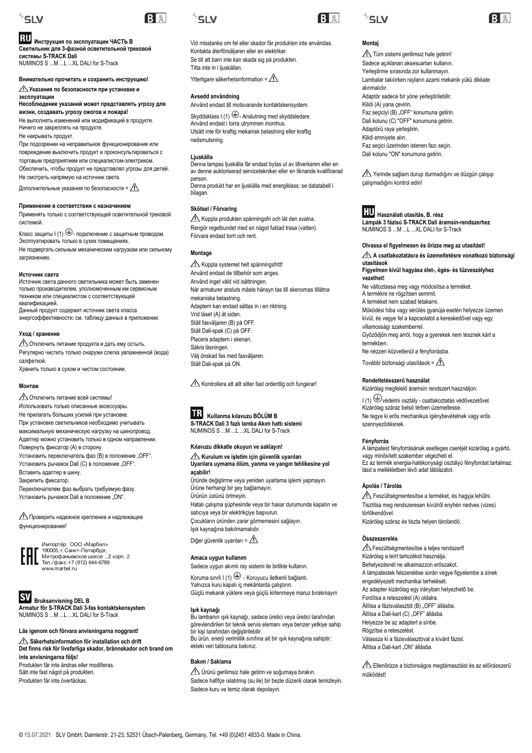

## **Инструкция по эксплуатации ЧАСТЬ B**

**Светильник для 3-фазной осветительной трековой системы S-TRACK Dali** NUMINOS S ...M ...L ...XL DALI for S-Track

#### **Внимательно прочитать и сохранить инструкцию!**

**Указания по безопасности при установке и эксплуатации**

**Несоблюдение указаний может представлять угрозу для жизни, создавать угрозу ожогов и пожара!**

Не выполнять изменений или модификаций в продукте. Ничего не закреплять на продукте. Не накрывать продукт.

При подозрении на неправильное функционирование или повреждение выключить продукт и проконсультироваться с торговым предприятием или специалистом-электриком. Обеспечить, чтобы продукт не представлял угрозы для детей. Не смотреть напрямую на источник света.

Дополнительные указания по безопасности =  $\Lambda$ 

#### **Применение в соответствии с назначением**

Применять только с соответствующей осветительной трековой системой.

Класс защиты  $\ket{(1)} \oplus$ - подключение с защитным проводом. Эксплуатировать только в сухих помещениях. Не подвергать сильным механическим нагрузкам или сильному загрязнению.

#### **Источник света**

Источник света данного светильника может быть заменен только производителем, уполномоченным им сервисным техником или специалистом с соответствующей квалификацией.

Данный продукт содержит источник света класса энергоэффективности: см. таблицу данных в приложении.

#### **Уход / хранение**

Отключить питание продукта и дать ему остыть. Регулярно чистить только снаружи слегка увлажненной (вода) салфеткой. Хранить только в сухом и чистом состоянии.

#### **Монтаж**

Отключить питание всей системы! Использовать только описанные аксессуары. Не прилагать больших усилий при установке. При установке светильников необходимо учитывать максимальную механическую нагрузку на шинопровод. Адаптер можно установить только в одном направлении. Повернуть фиксатор (A) в сторону. Установить переключатель фаз (В) в положение "ОFF". Установить рычажок Dali (С) в положение "ОFF". Вставить адаптер в шину. Закрепить фиксатор. Переключателем фаз выбрать требуемую фазу.

Установить рычажок Dali в положение "ON".

Проверить надежное крепление и надлежащее функционирование!

Импортёр: ООО «Марбел»<br>190005, г. Санкт-Петербург,<br>Митрофаньевское шоссе , 2 корп. 2<br>Тел./факс +7 (812) 644-6789 www.marbel.ru

**BY** Bruksanvisning DEL B **Armatur för S-TRACK Dali 3-fas kontaktskensystem** NUMINOS S ...M ...L ...XL DALI for S-Track

### **Läs igenom och förvara anvisningarna noggrant!**

**Säkerhetsinformation för installation och drift Det finns risk för livsfarliga skador, brännskador och brand om inte anvisningarna följs!** Produkten får inte ändras eller modifieras. Sätt inte fast något på produkten. Produkten får inte övertäckas.



BA

Vid misstanke om fel eller skador får produkten inte användas. Kontakta återförsäljaren eller en elektriker. Se till att barn inte kan skada sig på produkten. Titta inte in i ljuskällan.

Ytterligare säkerhetsinformation =  $\hat{A}$ 

### **Avsedd användning**

Använd endast till motsvarande kontaktskensystem.

Skyddsklass I (1)  $\bigoplus$ - Anslutning med skyddsledare. Använd endast i torra utrymmen inomhus. Utsätt inte för kraftig mekanisk belastning eller kraftig nedsmutsning.

#### **Ljuskälla**

Denna lampas ljuskälla får endast bytas ut av tillverkaren eller en av denne auktoriserad servicetekniker eller en liknande kvalificerad person. Denna produkt har en ljuskälla med energiklass: se datatabell i

bilagan.

### **Skötsel / Förvaring**

Koppla produkten spänningsfri och låt den svalna. Rengör regelbundet med en något fuktad trasa (vatten). Förvara endast torrt och rent.

### **Montage**

Koppla systemet helt spänningsfritt! Använd endast de tillbehör som anges. Använd inget våld vid isättningen. När armaturer ansluts måste hänsyn tas till skenornas tillåtna mekaniska belastning. Adaptern kan endast sättas in i en riktning. Vrid låset (A) åt sidan. Ställ fasväljaren (B) på OFF. Ställ Dali-spak (C) på OFF. Placera adaptern i skenan. Säkra låsningen. Välj önskad fas med fasväljaren. Ställ Dali-spak på ON.

Kontrollera att allt sitter fast ordentlig och fungerar!

 **Kullanma kılavuzu BÖLÜM B S-TRACK Dali 3 fazlı lamba Akım hattı sistemi** NUMINOS S ...M ...L ...XL DALI for S-Track

#### **Kılavuzu dikkatle okuyun ve saklayın!**

**Kurulum ve işletim için güvenlik uyarıları Uyarılara uymama ölüm, yanma ve yangın tehlikesine yol açabilir!**

Üründe değiştirme veya yeniden uyarlama işlemi yapmayın. Ürüne herhangi bir şey bağlamayın. Ürünün üstünü örtmeyin. Hatalı çalışma şüphesinde veya bir hasar durumunda kapatın ve satıcıya veya bir elektrikçiye başvurun. Çocukların üründen zarar görmemesini sağlayın. Işık kaynağına bakılmamalıdır. Diğer güvenlik uyarıları =  $\triangle$ 

**Amaca uygun kullanım**

Sadece uygun akımlı ray sistemi ile birlikte kullanın. Koruma sınıfı I $(1) \oplus$  - Koruyucu iletkenli bağlantı.

Yalnızca kuru kapalı iç mekânlarda çalıştırın. Güçlü mekanik yüklere veya güçlü kirlenmeye maruz bırakmayın

#### **Işık kaynağı**

Bu lambanın ışık kaynağı, sadece üretici veya üretici tarafından görevlendirilen bir teknik servis elemanı veya benzer yetkiye sahip bir kişi tarafından değiştirilebilir. Bu ürün, enerji verimlilik sınıfına ait bir ışık kaynağına sahiptir: ekteki veri tablosuna bakınız.

### **Bakım / Saklama**

Ürünü gerilimsiz hale getirin ve soğumaya bırakın. Sadece hafifçe ıslatılmış (su ile) bir bezle düzenli olarak temizleyin. Sadece kuru ve temiz olarak depolayın.





### **Montaj**

Tüm sistemi gerilimsiz hale getirin! Sadece açıklanan aksesuarları kullanın. Yerleştirme sırasında zor kullanmayın. Lambalar takılırken rayların azami mekanik yükü dikkate alınmalıdır. Adaptör sadece bir yöne yerleştirilebilir. Kilidi (A) yana çevirin. Faz seçiciyi (B) "OFF" konumuna getirin. Dali kolunu (C) "OFF" konumuna getirin. Adaptörü raya yerleştirin. Kilidi emniyete alın. Faz seçici üzerinden istenen fazı seçin. Dali kolunu "ON" konumuna getirin.

Yerinde sağlam durup durmadığını ve düzgün çalışıp çalışmadığını kontrol edin!



**Használati utasítás, B. rész Lámpák 3 fázisú S-TRACK Dali áramsín-rendszerhez** NUMINOS S ...M ...L ...XL DALI for S-Track

#### **Olvassa el figyelmesen és őrizze meg az utasítást!**

**A csatlakoztatásra és üzemeltetésre vonatkozó biztonsági utasítások**

#### **Figyelmen kívül hagyása élet-, égés- és tűzveszélyhez vezethet!**

Ne változtassa meg vagy módosítsa a terméket. A termékre ne rögzítsen semmit. A terméket nem szabad letakarni.

Működési hiba vagy sérülés gyanúja esetén helyezze üzemen kívül, és vegye fel a kapcsolatot a kereskedővel vagy egy villamossági szakemberrel.

Győződjön meg arról, hogy a gyerekek nem tesznek kárt a termékben.

Ne nézzen közvetlenül a fényforrásba.

További biztonsági utasítások =  $\hat{N}$ 

#### **Rendeltetésszerű használat**

Kizárólag megfelelő áramsín rendszert használjon.

I (1) védelmi osztály - csatlakoztatás védővezetővel. Kizárólag száraz belső térben üzemeltesse. Ne tegye ki erős mechanikus igénybevételnek vagy erős szennyeződésnek.

#### **Fényforrás**

A lámpatest fényforrásának esetleges cseréjét kizárólag a gyártó, vagy minősített szakember végezheti el. Ez az termék energia-hatékonysági osztályú fényforrást tartalmaz: lásd a mellékletben lévő adat táblázatot.

#### **Ápolás / Tárolás**

Feszültségmentesítse a terméket, és hagyja lehűlni. Tisztítsa meg rendszeresen kívülről enyhén nedves (vizes) törlőkendővel. Kizárólag száraz és tiszta helyen tárolandó.

#### **Összeszerelés**

 Feszültségmentesítse a teljes rendszert! Kizárólag a leírt tartozékot használja. Behelyezésnél ne alkalmazzon erőszakot. A lámpatestek felszerelése során vegye figyelembe a sínek engedélyezett mechanikai terhelését. Az adapter kizárólag egy irányban helyezhető be. Fordítsa a reteszelést (A) oldalra. Állítsa a fázisválasztót (B) "OFF" állásba. Állítsa a Dali-kart (C) "OFF" állásba. Helyezze be az adaptert a sínbe. Rögzítse a reteszelést. Válassza ki a fázisválasztóval a kívánt fázist. Állítsa a Dali-kart "ON" állásba.

Ellenőrizze a biztonságos megtámasztást és az előírásszerű működést!

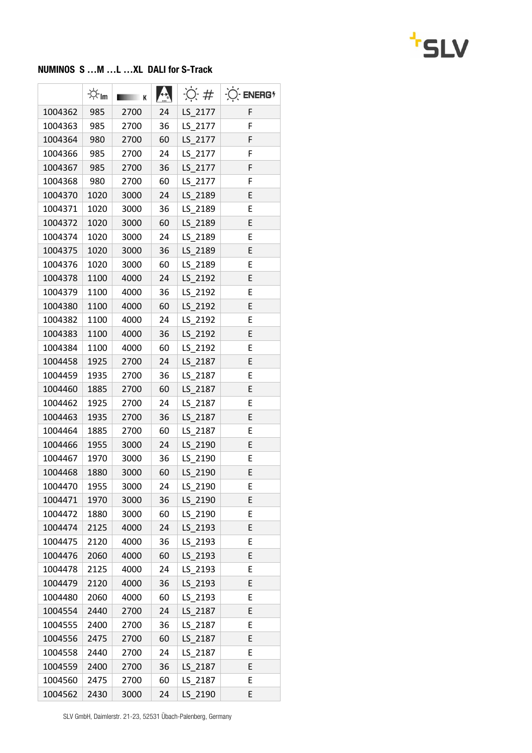

## NUMINOS S …M …L …XL DALI for S-Track

|         | -☆ <sub>Im</sub> | к    |    | $\overline{O}$ # | $O$ ENERG <sup>*</sup> |
|---------|------------------|------|----|------------------|------------------------|
| 1004362 | 985              | 2700 | 24 | LS 2177          | F                      |
| 1004363 | 985              | 2700 | 36 | LS_2177          | F                      |
| 1004364 | 980              | 2700 | 60 | LS 2177          | F                      |
| 1004366 | 985              | 2700 | 24 | LS 2177          | F                      |
| 1004367 | 985              | 2700 | 36 | LS_2177          | F                      |
| 1004368 | 980              | 2700 | 60 | LS 2177          | F                      |
| 1004370 | 1020             | 3000 | 24 | LS 2189          | E                      |
| 1004371 | 1020             | 3000 | 36 | LS_2189          | E                      |
| 1004372 | 1020             | 3000 | 60 | LS 2189          | E                      |
| 1004374 | 1020             | 3000 | 24 | LS 2189          | E                      |
| 1004375 | 1020             | 3000 | 36 | LS_2189          | E                      |
| 1004376 | 1020             | 3000 | 60 | LS 2189          | E                      |
| 1004378 | 1100             | 4000 | 24 | LS 2192          | E                      |
| 1004379 | 1100             | 4000 | 36 | LS_2192          | E                      |
| 1004380 | 1100             | 4000 | 60 | LS 2192          | E                      |
| 1004382 | 1100             | 4000 | 24 | LS 2192          | E                      |
| 1004383 | 1100             | 4000 | 36 | LS_2192          | Ε                      |
| 1004384 | 1100             | 4000 | 60 | LS 2192          | E                      |
| 1004458 | 1925             | 2700 | 24 | LS_2187          | E                      |
| 1004459 | 1935             | 2700 | 36 | LS_2187          | E                      |
| 1004460 | 1885             | 2700 | 60 | LS 2187          | E                      |
| 1004462 | 1925             | 2700 | 24 | LS 2187          | E                      |
| 1004463 | 1935             | 2700 | 36 | LS_2187          | E                      |
| 1004464 | 1885             | 2700 | 60 | LS 2187          | E                      |
| 1004466 | 1955             | 3000 | 24 | LS 2190          | E                      |
| 1004467 | 1970             | 3000 | 36 | LS 2190          | E                      |
| 1004468 | 1880             | 3000 | 60 | LS 2190          | E                      |
| 1004470 | 1955             | 3000 | 24 | LS_2190          | E                      |
| 1004471 | 1970             | 3000 | 36 | LS 2190          | E                      |
| 1004472 | 1880             | 3000 | 60 | LS 2190          | E                      |
| 1004474 | 2125             | 4000 | 24 | LS_2193          | E                      |
| 1004475 | 2120             | 4000 | 36 | LS 2193          | Ε                      |
| 1004476 | 2060             | 4000 | 60 | LS 2193          | E                      |
| 1004478 | 2125             | 4000 | 24 | LS 2193          | E                      |
| 1004479 | 2120             | 4000 | 36 | LS 2193          | E                      |
| 1004480 | 2060             | 4000 | 60 | LS_2193          | E                      |
| 1004554 | 2440             | 2700 | 24 | LS_2187          | E                      |
| 1004555 | 2400             | 2700 | 36 | LS_2187          | Ε                      |
| 1004556 | 2475             | 2700 | 60 | LS_2187          | E                      |
| 1004558 | 2440             | 2700 | 24 | LS_2187          | E                      |
| 1004559 | 2400             | 2700 | 36 | LS_2187          | E                      |
| 1004560 | 2475             | 2700 | 60 | LS_2187          | E                      |
| 1004562 | 2430             | 3000 | 24 | LS_2190          | E                      |